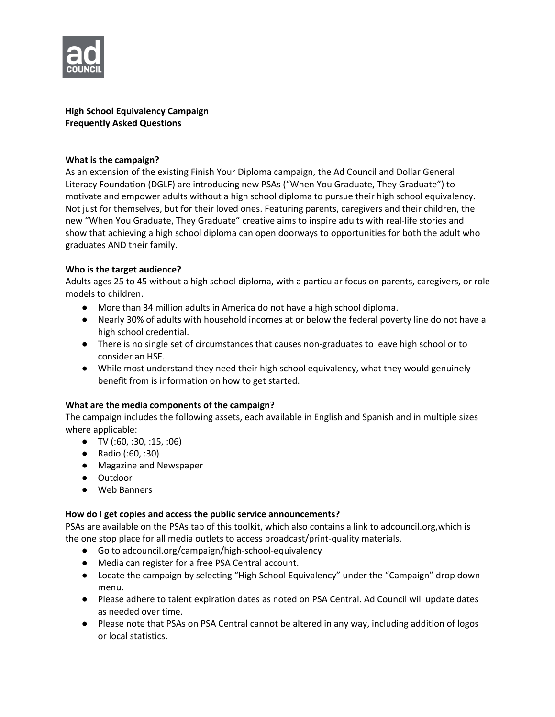

**High School Equivalency Campaign Frequently Asked Questions**

## **What is the campaign?**

As an extension of the existing Finish Your Diploma campaign, the Ad Council and Dollar General Literacy Foundation (DGLF) are introducing new PSAs ("When You Graduate, They Graduate") to motivate and empower adults without a high school diploma to pursue their high school equivalency. Not just for themselves, but for their loved ones. Featuring parents, caregivers and their children, the new "When You Graduate, They Graduate" creative aims to inspire adults with real-life stories and show that achieving a high school diploma can open doorways to opportunities for both the adult who graduates AND their family.

## **Who is the target audience?**

Adults ages 25 to 45 without a high school diploma, with a particular focus on parents, caregivers, or role models to children.

- More than 34 million adults in America do not have a high school diploma.
- Nearly 30% of adults with household incomes at or below the federal poverty line do not have a high school credential.
- There is no single set of circumstances that causes non-graduates to leave high school or to consider an HSE.
- While most understand they need their high school equivalency, what they would genuinely benefit from is information on how to get started.

# **What are the media components of the campaign?**

The campaign includes the following assets, each available in English and Spanish and in multiple sizes where applicable:

- $\bullet$  TV (:60, :30, :15, :06)
- Radio (:60, :30)
- Magazine and Newspaper
- Outdoor
- Web Banners

# **How do I get copies and access the public service announcements?**

PSAs are available on the PSAs tab of this toolkit, which also contains a link to adcouncil.org,which is the one stop place for all media outlets to access broadcast/print-quality materials.

- Go to adcouncil.org/campaign/high-school-equivalency
- Media can register for a free PSA Central account.
- Locate the campaign by selecting "High School Equivalency" under the "Campaign" drop down menu.
- Please adhere to talent expiration dates as noted on PSA Central. Ad Council will update dates as needed over time.
- Please note that PSAs on PSA Central cannot be altered in any way, including addition of logos or local statistics.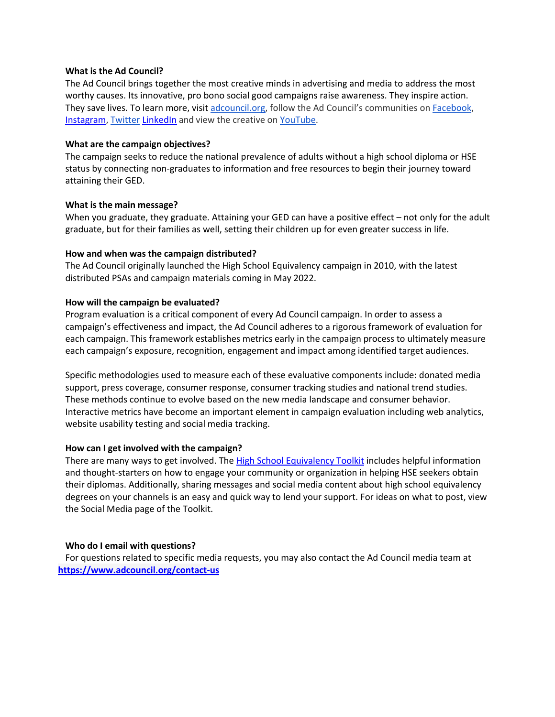#### **What is the Ad Council?**

The Ad Council brings together the most creative minds in advertising and media to address the most worthy causes. Its innovative, pro bono social good campaigns raise awareness. They inspire action. They save lives. To learn more, visit adcouncil.org, follow the Ad Council's communities on **Facebook**, Instagram, Twitter LinkedIn and view the creative on YouTube.

### **What are the campaign objectives?**

The campaign seeks to reduce the national prevalence of adults without a high school diploma or HSE status by connecting non-graduates to information and free resources to begin their journey toward attaining their GED.

### **What is the main message?**

When you graduate, they graduate. Attaining your GED can have a positive effect – not only for the adult graduate, but for their families as well, setting their children up for even greater success in life.

## **How and when was the campaign distributed?**

The Ad Council originally launched the High School Equivalency campaign in 2010, with the latest distributed PSAs and campaign materials coming in May 2022.

### **How will the campaign be evaluated?**

Program evaluation is a critical component of every Ad Council campaign. In order to assess a campaign's effectiveness and impact, the Ad Council adheres to a rigorous framework of evaluation for each campaign. This framework establishes metrics early in the campaign process to ultimately measure each campaign's exposure, recognition, engagement and impact among identified target audiences.

Specific methodologies used to measure each of these evaluative components include: donated media support, press coverage, consumer response, consumer tracking studies and national trend studies. These methods continue to evolve based on the new media landscape and consumer behavior. Interactive metrics have become an important element in campaign evaluation including web analytics, website usability testing and social media tracking.

#### **How can I get involved with the campaign?**

There are many ways to get involved. The High School Equivalency Toolkit includes helpful information and thought-starters on how to engage your community or organization in helping HSE seekers obtain their diplomas. Additionally, sharing messages and social media content about high school equivalency degrees on your channels is an easy and quick way to lend your support. For ideas on what to post, view the Social Media page of the Toolkit.

#### **Who do I email with questions?**

For questions related to specific media requests, you may also contact the Ad Council media team at **https://www.adcouncil.org/contact-us**